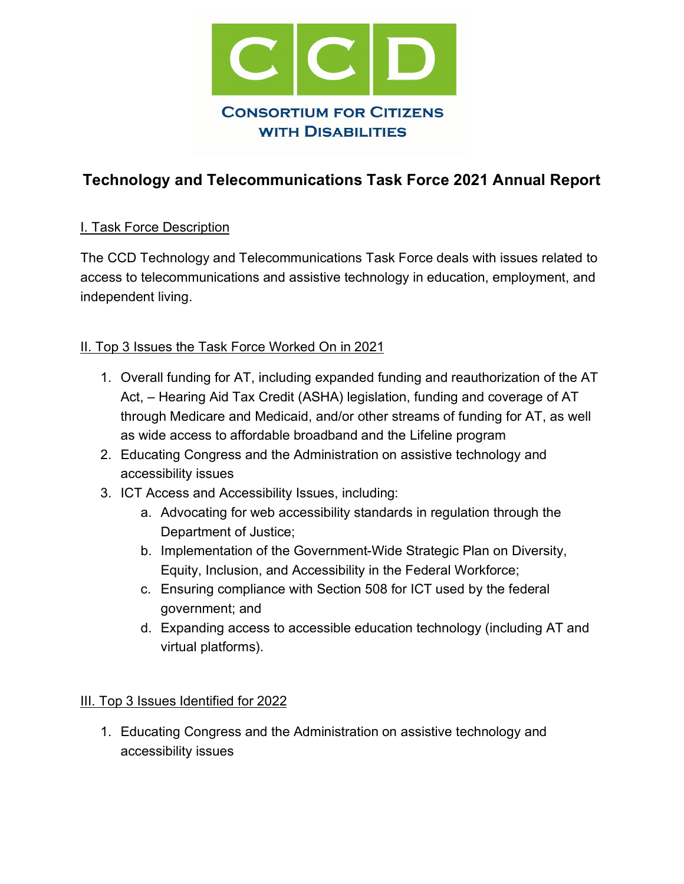

# **Technology and Telecommunications Task Force 2021 Annual Report**

#### **I. Task Force Description**

The CCD Technology and Telecommunications Task Force deals with issues related to access to telecommunications and assistive technology in education, employment, and independent living.

#### II. Top 3 Issues the Task Force Worked On in 2021

- 1. Overall funding for AT, including expanded funding and reauthorization of the AT Act, – Hearing Aid Tax Credit (ASHA) legislation, funding and coverage of AT through Medicare and Medicaid, and/or other streams of funding for AT, as well as wide access to affordable broadband and the Lifeline program
- 2. Educating Congress and the Administration on assistive technology and accessibility issues
- 3. ICT Access and Accessibility Issues, including:
	- a. Advocating for web accessibility standards in regulation through the Department of Justice;
	- b. Implementation of the Government-Wide Strategic Plan on Diversity, Equity, Inclusion, and Accessibility in the Federal Workforce;
	- c. Ensuring compliance with Section 508 for ICT used by the federal government; and
	- d. Expanding access to accessible education technology (including AT and virtual platforms).

#### III. Top 3 Issues Identified for 2022

1. Educating Congress and the Administration on assistive technology and accessibility issues